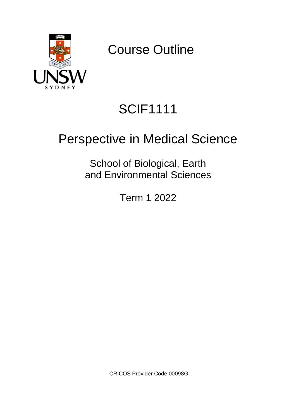

Course Outline

# SCIF1111

## Perspective in Medical Science

School of Biological, Earth and Environmental Sciences

Term 1 2022

CRICOS Provider Code 00098G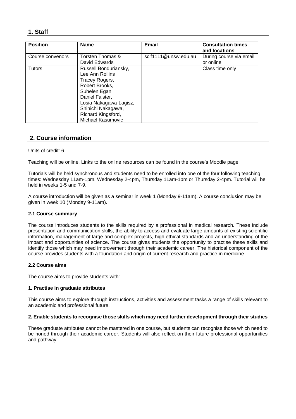## **1. Staff**

| <b>Position</b>  | <b>Name</b>                                                                                                                                                                                                 | Email                | <b>Consultation times</b><br>and locations |
|------------------|-------------------------------------------------------------------------------------------------------------------------------------------------------------------------------------------------------------|----------------------|--------------------------------------------|
| Course convenors | Torsten Thomas &<br>David Edwards                                                                                                                                                                           | scif1111@unsw.edu.au | During course via email<br>or online       |
| <b>Tutors</b>    | Russell Bonduriansky,<br>Lee Ann Rollins<br>Tracey Rogers,<br>Robert Brooks,<br>Suhelen Egan,<br>Daniel Falster,<br>Losia Nakagawa-Lagisz,<br>Shinichi Nakagawa,<br>Richard Kingsford,<br>Michael Kasumovic |                      | Class time only                            |

## **2. Course information**

#### Units of credit: 6

Teaching will be online. Links to the online resources can be found in the course's Moodle page.

Tutorials will be held synchronous and students need to be enrolled into one of the four following teaching times: Wednesday 11am-1pm, Wednesday 2-4pm, Thursday 11am-1pm or Thursday 2-4pm. Tutorial will be held in weeks 1-5 and 7-9.

A course introduction will be given as a seminar in week 1 (Monday 9-11am). A course conclusion may be given in week 10 (Monday 9-11am).

#### **2.1 Course summary**

The course introduces students to the skills required by a professional in medical research. These include presentation and communication skills, the ability to access and evaluate large amounts of existing scientific information, management of large and complex projects, high ethical standards and an understanding of the impact and opportunities of science. The course gives students the opportunity to practise these skills and identify those which may need improvement through their academic career. The historical component of the course provides students with a foundation and origin of current research and practice in medicine.

#### **2.2 Course aims**

The course aims to provide students with:

#### **1. Practise in graduate attributes**

This course aims to explore through instructions, activities and assessment tasks a range of skills relevant to an academic and professional future.

#### **2. Enable students to recognise those skills which may need further development through their studies**

These graduate attributes cannot be mastered in one course, but students can recognise those which need to be honed through their academic career. Students will also reflect on their future professional opportunities and pathway.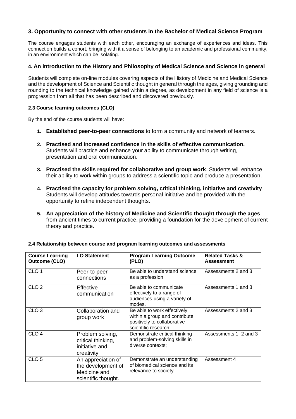## **3. Opportunity to connect with other students in the Bachelor of Medical Science Program**

The course engages students with each other, encouraging an exchange of experiences and ideas. This connection builds a cohort, bringing with it a sense of belonging to an academic and professional community, in an environment which can be isolating.

### **4. An introduction to the History and Philosophy of Medical Science and Science in general**

Students will complete on-line modules covering aspects of the History of Medicine and Medical Science and the development of Science and Scientific thought in general through the ages, giving grounding and rounding to the technical knowledge gained within a degree, as development in any field of science is a progression from all that has been described and discovered previously.

#### **2.3 Course learning outcomes (CLO)**

By the end of the course students will have:

- **1. Established peer-to-peer connections** to form a community and network of learners.
- **2. Practised and increased confidence in the skills of effective communication.**  Students will practice and enhance your ability to communicate through writing, presentation and oral communication.
- **3. Practised the skills required for collaborative and group work**. Students will enhance their ability to work within groups to address a scientific topic and produce a presentation.
- **4. Practised the capacity for problem solving, critical thinking, initiative and creativity**. Students will develop attitudes towards personal initiative and be provided with the opportunity to refine independent thoughts.
- **5. An appreciation of the history of Medicine and Scientific thought through the ages**  from ancient times to current practice, providing a foundation for the development of current theory and practice.

| <b>Course Learning</b><br><b>Outcome (CLO)</b> | <b>LO Statement</b>                                                             | <b>Program Learning Outcome</b><br>(PLO)                                                                            | <b>Related Tasks &amp;</b><br><b>Assessment</b> |
|------------------------------------------------|---------------------------------------------------------------------------------|---------------------------------------------------------------------------------------------------------------------|-------------------------------------------------|
| CLO <sub>1</sub>                               | Peer-to-peer<br>connections                                                     | Be able to understand science<br>as a profession                                                                    | Assessments 2 and 3                             |
| CLO <sub>2</sub>                               | Effective<br>communication                                                      | Be able to communicate<br>effectively to a range of<br>audiences using a variety of<br>modes.                       | Assessments 1 and 3                             |
| CLO <sub>3</sub>                               | Collaboration and<br>group work                                                 | Be able to work effectively<br>within a group and contribute<br>positively to collaborative<br>scientific research: | Assessments 2 and 3                             |
| CLO <sub>4</sub>                               | Problem solving,<br>critical thinking,<br>initiative and<br>creativity          | Demonstrate critical thinking<br>and problem-solving skills in<br>diverse contexts;                                 | Assessments 1, 2 and 3                          |
| CLO <sub>5</sub>                               | An appreciation of<br>the development of<br>Medicine and<br>scientific thought. | Demonstrate an understanding<br>of biomedical science and its<br>relevance to society                               | Assessment 4                                    |

#### **2.4 Relationship between course and program learning outcomes and assessments**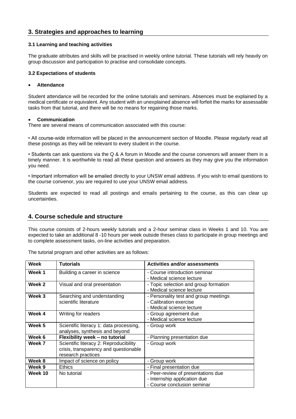## **3. Strategies and approaches to learning**

#### **3.1 Learning and teaching activities**

The graduate attributes and skills will be practised in weekly online tutorial. These tutorials will rely heavily on group discussion and participation to practise and consolidate concepts.

#### **3.2 Expectations of students**

#### • **Attendance**

Student attendance will be recorded for the online tutorials and seminars. Absences must be explained by a medical certificate or equivalent. Any student with an unexplained absence will forfeit the marks for assessable tasks from that tutorial, and there will be no means for regaining those marks.

#### • **Communication**

There are several means of communication associated with this course:

• All course-wide information will be placed in the announcement section of Moodle. Please regularly read all these postings as they will be relevant to every student in the course.

• Students can ask questions via the Q & A forum in Moodle and the course convenors will answer them in a timely manner. It is worthwhile to read all these question and answers as they may give you the information you need.

• Important information will be emailed directly to your UNSW email address. If you wish to email questions to the course convenor, you are required to use your UNSW email address.

Students are expected to read all postings and emails pertaining to the course, as this can clear up uncertainties.

## **4. Course schedule and structure**

This course consists of 2-hours weekly tutorials and a 2-hour seminar class in Weeks 1 and 10. You are expected to take an additional 8 -10 hours per week outside theses class to participate in group meetings and to complete assessment tasks, on-line activities and preparation.

| Week    | <b>Tutorials</b>                                                                                      | <b>Activities and/or assessments</b>                                                              |
|---------|-------------------------------------------------------------------------------------------------------|---------------------------------------------------------------------------------------------------|
| Week 1  | Building a career in science                                                                          | - Course introduction seminar<br>- Medical science lecture                                        |
| Week 2  | Visual and oral presentation                                                                          | - Topic selection and group formation<br>- Medical science lecture                                |
| Week 3  | Searching and understanding<br>scientific literature                                                  | - Personality test and group meetings<br>- Calibration exercise<br>- Medical science lecture      |
| Week 4  | Writing for readers                                                                                   | - Group agreement due<br>- Medical science lecture                                                |
| Week 5  | Scientific literacy 1: data processing,<br>analyses, synthesis and beyond                             | - Group work                                                                                      |
| Week 6  | Flexibility week - no tutorial                                                                        | - Planning presentation due                                                                       |
| Week 7  | Scientific literacy 2: Reproducibility<br>crisis, transparency and questionable<br>research practices | - Group work                                                                                      |
| Week 8  | Impact of science on policy                                                                           | - Group work                                                                                      |
| Week 9  | <b>Ethics</b>                                                                                         | - Final presentation due                                                                          |
| Week 10 | No tutorial                                                                                           | - Peer-review of presentations due<br>- Internship application due<br>- Course conclusion seminar |

The tutorial program and other activities are as follows: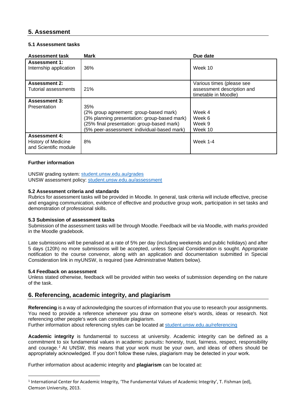## **5. Assessment**

#### **5.1 Assessment tasks**

| <b>Assessment task</b>                                               | <b>Mark</b>                                                                                                                                                                                | Due date                                                                        |
|----------------------------------------------------------------------|--------------------------------------------------------------------------------------------------------------------------------------------------------------------------------------------|---------------------------------------------------------------------------------|
| <b>Assessment 1:</b><br>Internship application                       | 36%                                                                                                                                                                                        | Week 10                                                                         |
| <b>Assessment 2:</b><br>Tutorial assessments                         | 21%                                                                                                                                                                                        | Various times (please see<br>assessment description and<br>timetable in Moodle) |
| <b>Assessment 3:</b><br>Presentation                                 | 35%<br>(2% group agreement: group-based mark)<br>(3% planning presentation: group-based mark)<br>(25% final presentation: group-based mark)<br>(5% peer-assessment: individual-based mark) | Week 4<br>Week 6<br>Week 9<br>Week 10                                           |
| <b>Assessment 4:</b><br>History of Medicine<br>and Scientific module | 8%                                                                                                                                                                                         | <b>Week 1-4</b>                                                                 |

#### **Further information**

UNSW grading system: [student.unsw.edu.au/grades](https://student.unsw.edu.au/grades) UNSW assessment policy: [student.unsw.edu.au/assessment](https://student.unsw.edu.au/assessment)

#### **5.2 Assessment criteria and standards**

Rubrics for assessment tasks will be provided in Moodle. In general, task criteria will include effective, precise and engaging communication, evidence of effective and productive group work, participation in set tasks and demonstration of professional skills.

#### **5.3 Submission of assessment tasks**

Submission of the assessment tasks will be through Moodle. Feedback will be via Moodle, with marks provided in the Moodle gradebook.

Late submissions will be penalised at a rate of 5% per day (including weekends and public holidays) and after 5 days (120h) no more submissions will be accepted, unless Special Consideration is sought. Appropriate notification to the course convenor, along with an application and documentation submitted in Special Consideration link in myUNSW, is required (see Administrative Matters below).

#### **5.4 Feedback on assessment**

Unless stated otherwise, feedback will be provided within two weeks of submission depending on the nature of the task.

## **6. Referencing, academic integrity, and plagiarism**

**Referencing** is a way of acknowledging the sources of information that you use to research your assignments. You need to provide a reference whenever you draw on someone else's words, ideas or research. Not referencing other people's work can constitute plagiarism.

Further information about referencing styles can be located at [student.unsw.edu.au/referencing](https://student.unsw.edu.au/referencing)

**Academic integrity** is fundamental to success at university. Academic integrity can be defined as a commitment to six fundamental values in academic pursuits**:** honesty, trust, fairness, respect, responsibility and courage. *<sup>1</sup>* At UNSW, this means that your work must be your own, and ideas of others should be appropriately acknowledged. If you don't follow these rules, plagiarism may be detected in your work.

Further information about academic integrity and **plagiarism** can be located at:

<sup>&</sup>lt;sup>1</sup> International Center for Academic Integrity, 'The Fundamental Values of Academic Integrity', T. Fishman (ed), Clemson University, 2013.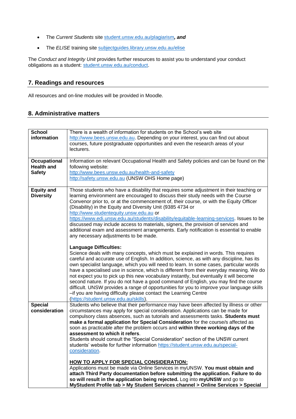- The *Current Students* site [student.unsw.edu.au/plagiarism](https://student.unsw.edu.au/plagiarism)*, and*
- The *ELISE* training site [subjectguides.library.unsw.edu.au/elise](https://subjectguides.library.unsw.edu.au/elise)

The *Conduct and Integrity Unit* provides further resources to assist you to understand your conduct obligations as a student: [student.unsw.edu.au/conduct.](https://student.unsw.edu.au/conduct)

## **7. Readings and resources**

All resources and on-line modules will be provided in Moodle.

## **8. Administrative matters**

| <b>School</b><br>information                              | There is a wealth of information for students on the School's web site<br>http://www.bees.unsw.edu.au. Depending on your interest, you can find out about<br>courses, future postgraduate opportunities and even the research areas of your<br>lecturers.                                                                                                                                                                                                                                                                                                                                                                                                                                                                                                                                                                                                                                                                                                                                                                                                                                                                                                                                                                                                                                                                                                                                                                                                         |
|-----------------------------------------------------------|-------------------------------------------------------------------------------------------------------------------------------------------------------------------------------------------------------------------------------------------------------------------------------------------------------------------------------------------------------------------------------------------------------------------------------------------------------------------------------------------------------------------------------------------------------------------------------------------------------------------------------------------------------------------------------------------------------------------------------------------------------------------------------------------------------------------------------------------------------------------------------------------------------------------------------------------------------------------------------------------------------------------------------------------------------------------------------------------------------------------------------------------------------------------------------------------------------------------------------------------------------------------------------------------------------------------------------------------------------------------------------------------------------------------------------------------------------------------|
| <b>Occupational</b><br><b>Health and</b><br><b>Safety</b> | Information on relevant Occupational Health and Safety policies and can be found on the<br>following website:<br>http://www.bees.unsw.edu.au/health-and-safety<br>http://safety.unsw.edu.au (UNSW OHS Home page)                                                                                                                                                                                                                                                                                                                                                                                                                                                                                                                                                                                                                                                                                                                                                                                                                                                                                                                                                                                                                                                                                                                                                                                                                                                  |
| <b>Equity and</b><br><b>Diversity</b>                     | Those students who have a disability that requires some adjustment in their teaching or<br>learning environment are encouraged to discuss their study needs with the Course<br>Convenor prior to, or at the commencement of, their course, or with the Equity Officer<br>(Disability) in the Equity and Diversity Unit (9385 4734 or<br>http://www.studentequity.unsw.edu.au or<br>https://www.edi.unsw.edu.au/students/disability/equitable-learning-services. Issues to be<br>discussed may include access to materials, signers, the provision of services and<br>additional exam and assessment arrangements. Early notification is essential to enable<br>any necessary adjustments to be made.<br><b>Language Difficulties:</b><br>Science deals with many concepts, which must be explained in words. This requires<br>careful and accurate use of English. In addition, science, as with any discipline, has its<br>own specialist language, which you will need to learn. In some cases, particular words<br>have a specialised use in science, which is different from their everyday meaning. We do<br>not expect you to pick up this new vocabulary instantly, but eventually it will become<br>second nature. If you do not have a good command of English, you may find the course<br>difficult. UNSW provides a range of opportunities for you to improve your language skills<br>-if you are having difficulty please contact the Learning Centre |
| <b>Special</b><br>consideration                           | (https://student.unsw.edu.au/skills).<br>Students who believe that their performance may have been affected by illness or other<br>circumstances may apply for special consideration. Applications can be made for<br>compulsory class absences, such as tutorials and assessments tasks. Students must<br>make a formal application for Special Consideration for the course/s affected as<br>soon as practicable after the problem occurs and within three working days of the<br>assessment to which it refers.<br>Students should consult the "Special Consideration" section of the UNSW current<br>students' website for further information https://student.unsw.edu.au/special-<br>consideration.<br><b>HOW TO APPLY FOR SPECIAL CONSIDERATION:</b><br>Applications must be made via Online Services in myUNSW. You must obtain and<br>attach Third Party documentation before submitting the application. Failure to do<br>so will result in the application being rejected. Log into myUNSW and go to<br>MyStudent Profile tab > My Student Services channel > Online Services > Special                                                                                                                                                                                                                                                                                                                                                                |